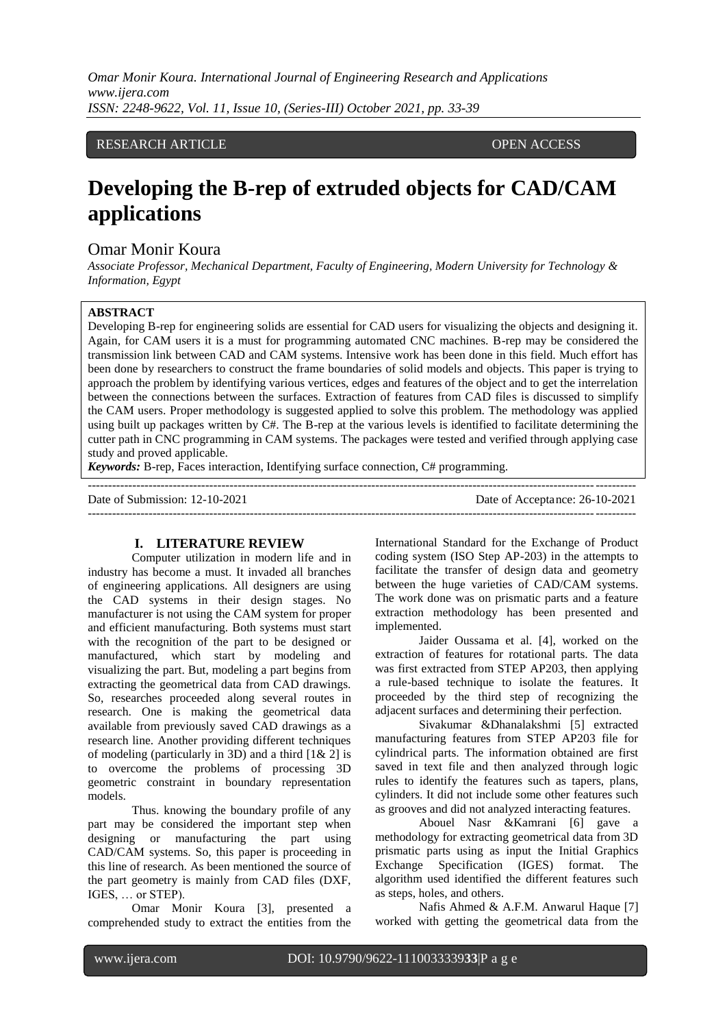*Omar Monir Koura. International Journal of Engineering Research and Applications www.ijera.com ISSN: 2248-9622, Vol. 11, Issue 10, (Series-III) October 2021, pp. 33-39*

# RESEARCH ARTICLE **OPEN ACCESS**

# **Developing the B-rep of extruded objects for CAD/CAM applications**

# Omar Monir Koura

*Associate Professor, Mechanical Department, Faculty of Engineering, Modern University for Technology & Information, Egypt* 

# **ABSTRACT**

Developing B-rep for engineering solids are essential for CAD users for visualizing the objects and designing it. Again, for CAM users it is a must for programming automated CNC machines. B-rep may be considered the transmission link between CAD and CAM systems. Intensive work has been done in this field. Much effort has been done by researchers to construct the frame boundaries of solid models and objects. This paper is trying to approach the problem by identifying various vertices, edges and features of the object and to get the interrelation between the connections between the surfaces. Extraction of features from CAD files is discussed to simplify the CAM users. Proper methodology is suggested applied to solve this problem. The methodology was applied using built up packages written by  $C#$ . The B-rep at the various levels is identified to facilitate determining the cutter path in CNC programming in CAM systems. The packages were tested and verified through applying case study and proved applicable.

---------------------------------------------------------------------------------------------------------------------------------------

*Keywords:* B-rep, Faces interaction, Identifying surface connection, C# programming.

Date of Submission: 12-10-2021 Date of Acceptance: 26-10-2021

---------------------------------------------------------------------------------------------------------------------------------------

**I. LITERATURE REVIEW** Computer utilization in modern life and in industry has become a must. It invaded all branches of engineering applications. All designers are using the CAD systems in their design stages. No manufacturer is not using the CAM system for proper and efficient manufacturing. Both systems must start with the recognition of the part to be designed or manufactured, which start by modeling and visualizing the part. But, modeling a part begins from extracting the geometrical data from CAD drawings. So, researches proceeded along several routes in research. One is making the geometrical data available from previously saved CAD drawings as a research line. Another providing different techniques of modeling (particularly in 3D) and a third [1& 2] is to overcome the problems of processing 3D geometric constraint in boundary representation models.

Thus. knowing the boundary profile of any part may be considered the important step when designing or manufacturing the part using CAD/CAM systems. So, this paper is proceeding in this line of research. As been mentioned the source of the part geometry is mainly from CAD files (DXF, IGES, … or STEP).

Omar Monir Koura [3], presented a comprehended study to extract the entities from the International Standard for the Exchange of Product coding system (ISO Step AP-203) in the attempts to facilitate the transfer of design data and geometry between the huge varieties of CAD/CAM systems. The work done was on prismatic parts and a feature extraction methodology has been presented and implemented.

Jaider Oussama et al. [4], worked on the extraction of features for rotational parts. The data was first extracted from STEP AP203, then applying a rule-based technique to isolate the features. It proceeded by the third step of recognizing the adjacent surfaces and determining their perfection.

Sivakumar &Dhanalakshmi [5] extracted manufacturing features from STEP AP203 file for cylindrical parts. The information obtained are first saved in text file and then analyzed through logic rules to identify the features such as tapers, plans, cylinders. It did not include some other features such as grooves and did not analyzed interacting features.

Abouel Nasr &Kamrani [6] gave a methodology for extracting geometrical data from 3D prismatic parts using as input the Initial Graphics Exchange Specification (IGES) format. The algorithm used identified the different features such as steps, holes, and others.

Nafis Ahmed & A.F.M. Anwarul Haque [7] worked with getting the geometrical data from the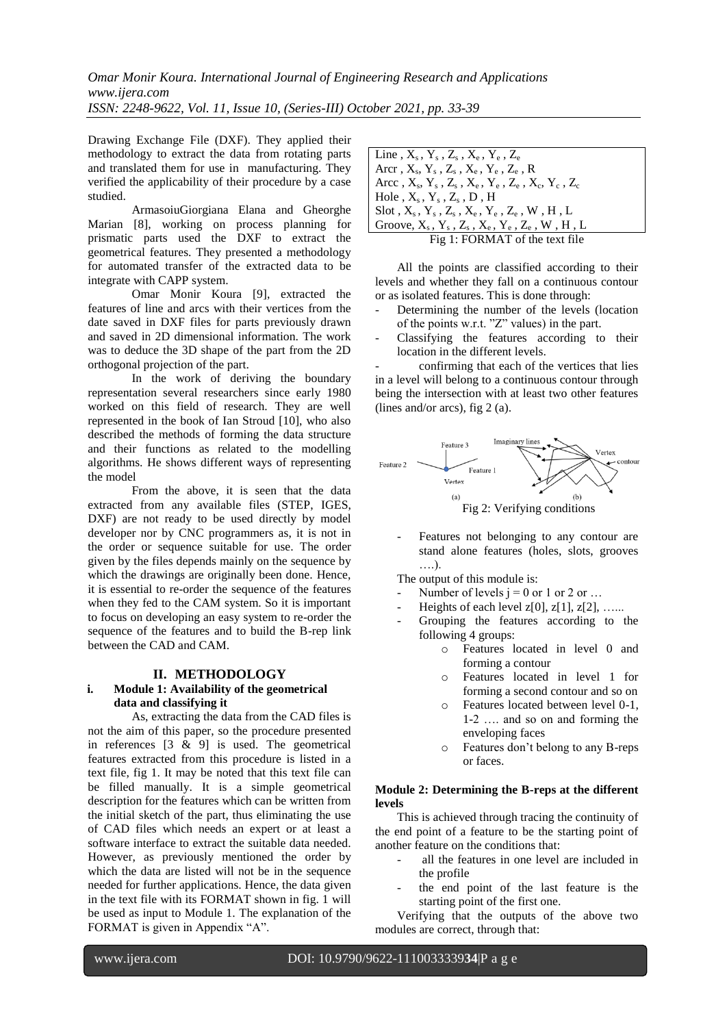Drawing Exchange File (DXF). They applied their methodology to extract the data from rotating parts and translated them for use in manufacturing. They verified the applicability of their procedure by a case studied.

ArmasoiuGiorgiana Elana and Gheorghe Marian [8], working on process planning for prismatic parts used the DXF to extract the geometrical features. They presented a methodology for automated transfer of the extracted data to be integrate with CAPP system.

Omar Monir Koura [9], extracted the features of line and arcs with their vertices from the date saved in DXF files for parts previously drawn and saved in 2D dimensional information. The work was to deduce the 3D shape of the part from the 2D orthogonal projection of the part.

In the work of deriving the boundary representation several researchers since early 1980 worked on this field of research. They are well represented in the book of Ian Stroud [10], who also described the methods of forming the data structure and their functions as related to the modelling algorithms. He shows different ways of representing the model

From the above, it is seen that the data extracted from any available files (STEP, IGES, DXF) are not ready to be used directly by model developer nor by CNC programmers as, it is not in the order or sequence suitable for use. The order given by the files depends mainly on the sequence by which the drawings are originally been done. Hence, it is essential to re-order the sequence of the features when they fed to the CAM system. So it is important to focus on developing an easy system to re-order the sequence of the features and to build the B-rep link between the CAD and CAM.

# **II. METHODOLOGY**

### **i. Module 1: Availability of the geometrical data and classifying it**

As, extracting the data from the CAD files is not the aim of this paper, so the procedure presented in references [3 & 9] is used. The geometrical features extracted from this procedure is listed in a text file, fig 1. It may be noted that this text file can be filled manually. It is a simple geometrical description for the features which can be written from the initial sketch of the part, thus eliminating the use of CAD files which needs an expert or at least a software interface to extract the suitable data needed. However, as previously mentioned the order by which the data are listed will not be in the sequence needed for further applications. Hence, the data given in the text file with its FORMAT shown in fig. 1 will be used as input to Module 1. The explanation of the FORMAT is given in Appendix "A".

| Line, $X_s$ , $Y_s$ , $Z_s$ , $X_e$ , $Y_e$ , $Z_e$                           |
|-------------------------------------------------------------------------------|
| Arcr, $X_s$ , $Y_s$ , $Z_s$ , $X_e$ , $Y_e$ , $Z_e$ , $R$                     |
| Arcc, $X_s$ , $Y_s$ , $Z_s$ , $X_e$ , $Y_e$ , $Z_e$ , $X_c$ , $Y_c$ , $Z_c$   |
| $\vert$ Hole, $X_s$ , $Y_s$ , $Z_s$ , $D$ , $H$                               |
| $\vert$ Slot, $X_s$ , $Y_s$ , $Z_s$ , $X_e$ , $Y_e$ , $Z_e$ , $W$ , $H$ , $L$ |
| Groove, $X_s$ , $Y_s$ , $Z_s$ , $X_e$ , $Y_e$ , $Z_e$ , $W$ , $H$ , $L$       |
| Fig 1: FORMAT of the text file                                                |

All the points are classified according to their levels and whether they fall on a continuous contour or as isolated features. This is done through:

- Determining the number of the levels (location of the points w.r.t. "Z" values) in the part.
- Classifying the features according to their location in the different levels.

- confirming that each of the vertices that lies in a level will belong to a continuous contour through being the intersection with at least two other features (lines and/or arcs), fig 2 (a).



Features not belonging to any contour are stand alone features (holes, slots, grooves ….).

The output of this module is:

- Number of levels  $j = 0$  or 1 or 2 or ...
- Heights of each level  $z[0], z[1], z[2], \ldots$ .
- Grouping the features according to the following 4 groups:
	- o Features located in level 0 and forming a contour
	- o Features located in level 1 for forming a second contour and so on
	- Features located between level 0-1, 1-2 …. and so on and forming the enveloping faces
	- o Features don't belong to any B-reps or faces.

#### **Module 2: Determining the B-reps at the different levels**

This is achieved through tracing the continuity of the end point of a feature to be the starting point of another feature on the conditions that:

- all the features in one level are included in the profile
- the end point of the last feature is the starting point of the first one.

Verifying that the outputs of the above two modules are correct, through that: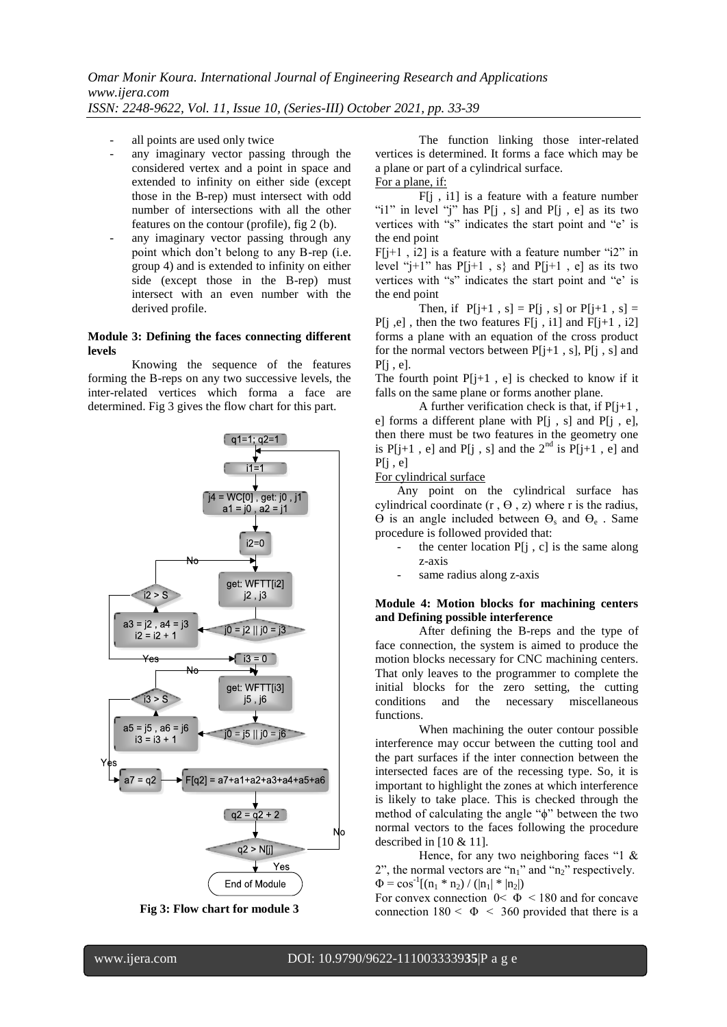- all points are used only twice
- any imaginary vector passing through the considered vertex and a point in space and extended to infinity on either side (except those in the B-rep) must intersect with odd number of intersections with all the other features on the contour (profile), fig 2 (b).
- any imaginary vector passing through any point which don't belong to any B-rep (i.e. group 4) and is extended to infinity on either side (except those in the B-rep) must intersect with an even number with the derived profile.

#### **Module 3: Defining the faces connecting different levels**

Knowing the sequence of the features forming the B-reps on any two successive levels, the inter-related vertices which forma a face are determined. Fig 3 gives the flow chart for this part.





The function linking those inter-related vertices is determined. It forms a face which may be a plane or part of a cylindrical surface. For a plane, if:

F[j , i1] is a feature with a feature number "i1" in level "j" has  $P[i, s]$  and  $P[i, e]$  as its two vertices with "s" indicates the start point and "e' is the end point

 $F[i+1, i2]$  is a feature with a feature number "i2" in level " $i+1$ " has  $P[i+1, s]$  and  $P[i+1, e]$  as its two vertices with "s" indicates the start point and "e' is the end point

Then, if  $P[j+1, s] = P[j, s]$  or  $P[j+1, s] =$  $P[j, e]$ , then the two features  $F[j, i1]$  and  $F[j+1, i2]$ forms a plane with an equation of the cross product for the normal vectors between  $P[j+1, s]$ ,  $P[j, s]$  and  $P[i, e]$ .

The fourth point  $P[i+1, e]$  is checked to know if it falls on the same plane or forms another plane.

A further verification check is that, if  $P[i+1]$ , e] forms a different plane with  $P[i, s]$  and  $P[i, e]$ , then there must be two features in the geometry one is  $P[j+1, e]$  and  $P[j, s]$  and the  $2^{nd}$  is  $P[j+1, e]$  and  $P[i, e]$ 

#### For cylindrical surface

Any point on the cylindrical surface has cylindrical coordinate  $(r, \theta, z)$  where r is the radius,  $\Theta$  is an angle included between  $\Theta_s$  and  $\Theta_e$ . Same procedure is followed provided that:

- the center location  $P[i, c]$  is the same along z-axis
- same radius along z-axis

#### **Module 4: Motion blocks for machining centers and Defining possible interference**

After defining the B-reps and the type of face connection, the system is aimed to produce the motion blocks necessary for CNC machining centers. That only leaves to the programmer to complete the initial blocks for the zero setting, the cutting conditions and the necessary miscellaneous functions.

When machining the outer contour possible interference may occur between the cutting tool and the part surfaces if the inter connection between the intersected faces are of the recessing type. So, it is important to highlight the zones at which interference is likely to take place. This is checked through the method of calculating the angle "ϕ" between the two normal vectors to the faces following the procedure described in  $[10 \& 11]$ .

Hence, for any two neighboring faces "1 & 2", the normal vectors are " $n_1$ " and " $n_2$ " respectively.  $\Phi = \cos^{-1}[(n_1 * n_2) / (|n_1| * |n_2|)]$ 

For convex connection  $0 < \Phi < 180$  and for concave connection  $180 < \Phi < 360$  provided that there is a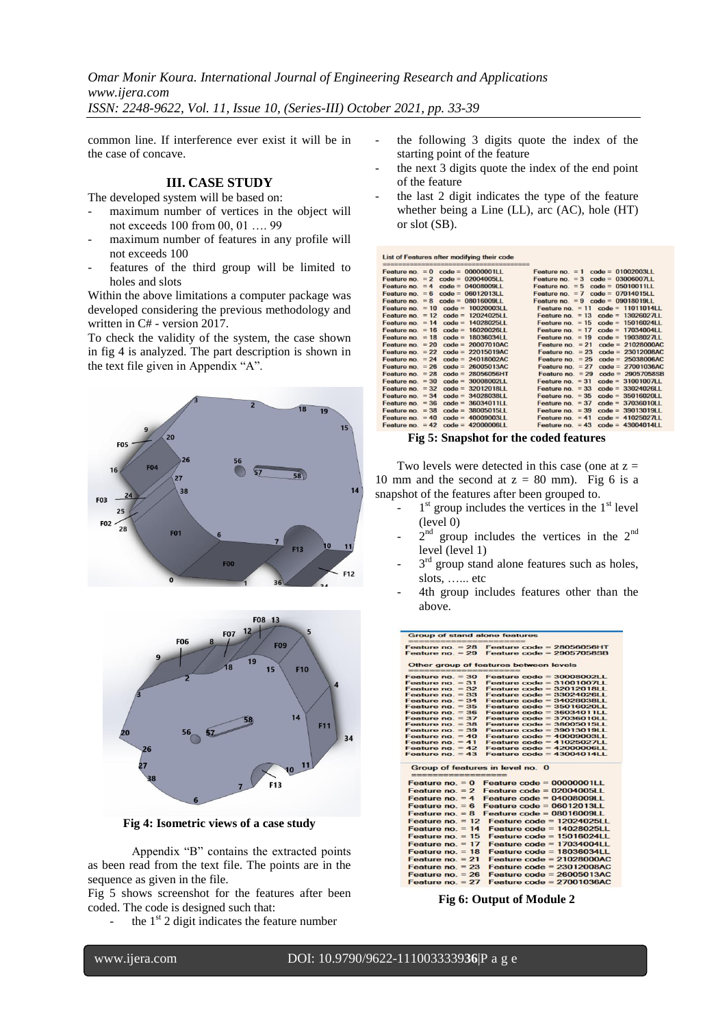*Omar Monir Koura. International Journal of Engineering Research and Applications www.ijera.com ISSN: 2248-9622, Vol. 11, Issue 10, (Series-III) October 2021, pp. 33-39*

common line. If interference ever exist it will be in the case of concave.

# **III. CASE STUDY**

The developed system will be based on:

- maximum number of vertices in the object will not exceeds 100 from 00, 01 …. 99
- maximum number of features in any profile will not exceeds 100
- features of the third group will be limited to holes and slots

Within the above limitations a computer package was developed considering the previous methodology and written in C# - version 2017.

To check the validity of the system, the case shown in fig 4 is analyzed. The part description is shown in the text file given in Appendix "A".





**Fig 4: Isometric views of a case study**

Appendix "B" contains the extracted points as been read from the text file. The points are in the sequence as given in the file.

Fig 5 shows screenshot for the features after been coded. The code is designed such that:

the  $1<sup>st</sup>$  2 digit indicates the feature number

- the following 3 digits quote the index of the starting point of the feature
- the next 3 digits quote the index of the end point of the feature
- the last 2 digit indicates the type of the feature whether being a Line (LL), arc (AC), hole (HT) or slot (SB).

|                    | List of Features after modifying their code<br>WHO WAS NOT THE THE YEAR OF THE YEAR OLD THE YEAR OF THE YEAR OF YEAR OF THE YEAR OF YEAR ONE YEAR ONE YEAR ONE YEAR ONE YEAR OF THE YEAR OF YEAR OF THE YEAR OF THE YEAR OF YEAR OF YEAR |                                           |
|--------------------|------------------------------------------------------------------------------------------------------------------------------------------------------------------------------------------------------------------------------------------|-------------------------------------------|
|                    | Feature no. $= 0$ code = 00000001LL                                                                                                                                                                                                      | Feature no. $= 1$ code = 01002003LL       |
|                    | Feature no. $= 2$ code = 02004005LL                                                                                                                                                                                                      | Feature no. $= 3$ code = 03006007LL       |
|                    | Feature no. $= 4$ code = 04008009LL                                                                                                                                                                                                      | Feature no. $= 5$ code = 05010011LL       |
|                    | Feature no. $= 6$ code = 06012013LL                                                                                                                                                                                                      | Feature no. $=7$ code = 07014015LL        |
|                    | Feature no. $= 8$ code = 08016009LL                                                                                                                                                                                                      | Feature no. $= 9$ code = 09018019LL       |
|                    | Feature no. $= 10$ code = 10020003LL                                                                                                                                                                                                     | Feature no. $= 11$ code = 11011014LL      |
|                    | Feature no. $= 12$ code = 12024025LL                                                                                                                                                                                                     | Feature no. $= 13$ code = 13026027LL      |
|                    | Feature no. $= 14$ code = 14028025LL                                                                                                                                                                                                     | Feature no. $= 15$<br>$code = 15016024LL$ |
|                    | Feature no. $= 16$ code = 16020026LL                                                                                                                                                                                                     | Feature no. $= 17$<br>$code = 17034004LL$ |
| Feature no. $= 18$ | $code = 18036034LL$                                                                                                                                                                                                                      | Feature no. $= 19$<br>$code = 19038027LL$ |
| Feature no. $= 20$ | $code = 20007010AC$                                                                                                                                                                                                                      | Feature no. $= 21$<br>$code = 21028000AC$ |
| Feature no. $= 22$ | $code = 22015019AC$                                                                                                                                                                                                                      | Feature no. $= 23$<br>$code = 23012008AC$ |
| Feature no $= 24$  | $code = 24018002AC$                                                                                                                                                                                                                      | Feature no $= 25$<br>$code = 25038006AC$  |
| Feature no. $= 26$ | $code = 26005013AC$                                                                                                                                                                                                                      | Feature no. $= 27$<br>$code = 27001036AC$ |
| Feature no. $= 28$ | $code = 28056056HT$                                                                                                                                                                                                                      | Feature no. $= 29$<br>$code = 29057058SB$ |
| Feature no. $= 30$ | $code = 30008002LL$                                                                                                                                                                                                                      | Feature no. $=$ 31<br>$code = 31001007LL$ |
| Feature no. $= 32$ | $code = 32012018LL$                                                                                                                                                                                                                      | Feature $no = 33$<br>$code = 33024026LL$  |
| Feature no. $= 34$ | $code = 3402803811$                                                                                                                                                                                                                      | Feature no. $= 35$<br>$code = 35016020LL$ |
| Feature no. $= 36$ | $code = 36034011LL$                                                                                                                                                                                                                      | Feature no. $= 37$<br>$code = 37036010LL$ |
| Feature no. $= 38$ | $code = 38005015LL$                                                                                                                                                                                                                      | Feature no. $= 39$<br>$code = 39013019LL$ |
| Feature no. $= 40$ | $code = 40009003LL$                                                                                                                                                                                                                      | Feature no. $= 41$<br>$code = 41025027LL$ |
|                    | Feature no. $= 42$ code = 42000006LL                                                                                                                                                                                                     | Feature no. $= 43$ code = $43004014LL$    |

### **Fig 5: Snapshot for the coded features**

Two levels were detected in this case (one at  $z =$ 10 mm and the second at  $z = 80$  mm). Fig 6 is a snapshot of the features after been grouped to.

- $1<sup>st</sup>$  group includes the vertices in the  $1<sup>st</sup>$  level (level 0)
- $-2^{nd}$  group includes the vertices in the  $2^{nd}$ level (level 1)
- $-3<sup>rd</sup>$  group stand alone features such as holes, slots, …... etc
- 4th group includes features other than the above.

| <b>Group of stand alone features</b>                                                                                                 | the statement complete space process complete.             |
|--------------------------------------------------------------------------------------------------------------------------------------|------------------------------------------------------------|
| date when were start dark wait start date was more away away was were start to<br>Feature no. $= 28$                                 | Feature $code = 28056056HT$                                |
| Feature $no. = 29$                                                                                                                   | Feature $code = 29057058SB$                                |
|                                                                                                                                      |                                                            |
| <b>CAR CONTRACTOR CONTRACTOR</b>                                                                                                     | Other group of features between levels                     |
| Feature $no. = 30$                                                                                                                   | Feature $code = 30008002LL$                                |
| Feature no. $= 31$                                                                                                                   | Feature $code = 3100100711$                                |
| Feature no. $= 32$                                                                                                                   | Feature $code = 32012018LL$                                |
| Feature no. $= 33$                                                                                                                   | Feature $code = 33024026LL$                                |
| Feature no. $= 34$                                                                                                                   | Feature code = $3402803811$                                |
| Feature no. $= 35$                                                                                                                   | Feature $code = 35016020LL$                                |
| Feature no. $= 36$                                                                                                                   | Feature $code = 36034011LL$                                |
| Feature no. $= 37$                                                                                                                   | Feature code = $3703601011$                                |
| Feature $no. = 38$                                                                                                                   | Feature $code = 3800501511$                                |
| Feature no. $= 39$                                                                                                                   | Feature $code = 3901301911$                                |
| Feature no. $=$ 40                                                                                                                   | Feature $code = 4000900311$                                |
| Feature no. $= 41$<br>Feature no. $= 42$                                                                                             | Feature $code = 41025027LL$<br>Feature $code = 4200000611$ |
| Feature no. $= 43$                                                                                                                   | Feature code = $43004014LL$                                |
|                                                                                                                                      |                                                            |
| Group of features in level no. 0<br>most start want when were seen them there were seen them them were seen them them them them them |                                                            |
| Feature $no. = 0$                                                                                                                    | Feature $code = 00000001LL$                                |
| Feature $no = 2$                                                                                                                     | Feature $code = 0200400511$                                |
| Feature no. $=$ 4                                                                                                                    | Feature $code = 04008009LL$                                |
|                                                                                                                                      |                                                            |
| Feature $no = 6$                                                                                                                     | Feature $code = 06012013LL$                                |
| Feature $no. = 8$                                                                                                                    | Feature $code = 08016009LL$                                |
| Feature no. $= 12$                                                                                                                   | Feature code = $1202402511$                                |
| Feature no. $= 14$                                                                                                                   | Feature $code = 140280251L$                                |
| Feature $no. = 15$                                                                                                                   | Feature code = $1501602411$                                |
| Feature no. $= 17$                                                                                                                   | Feature $code = 17034004LL$                                |
|                                                                                                                                      | Feature $code = 18036034LL$                                |
| Feature no. $= 18$                                                                                                                   |                                                            |
| Feature no. $= 21$                                                                                                                   | Feature $code = 21028000AC$                                |
| Feature $no = 23$                                                                                                                    | $Fe$ ature code = 23012008AC                               |
| Feature no. $= 26$                                                                                                                   | Feature $code = 26005013AC$                                |
| Englura no $= 27$                                                                                                                    | Englura code = $27001038AC$                                |

**Fig 6: Output of Module 2**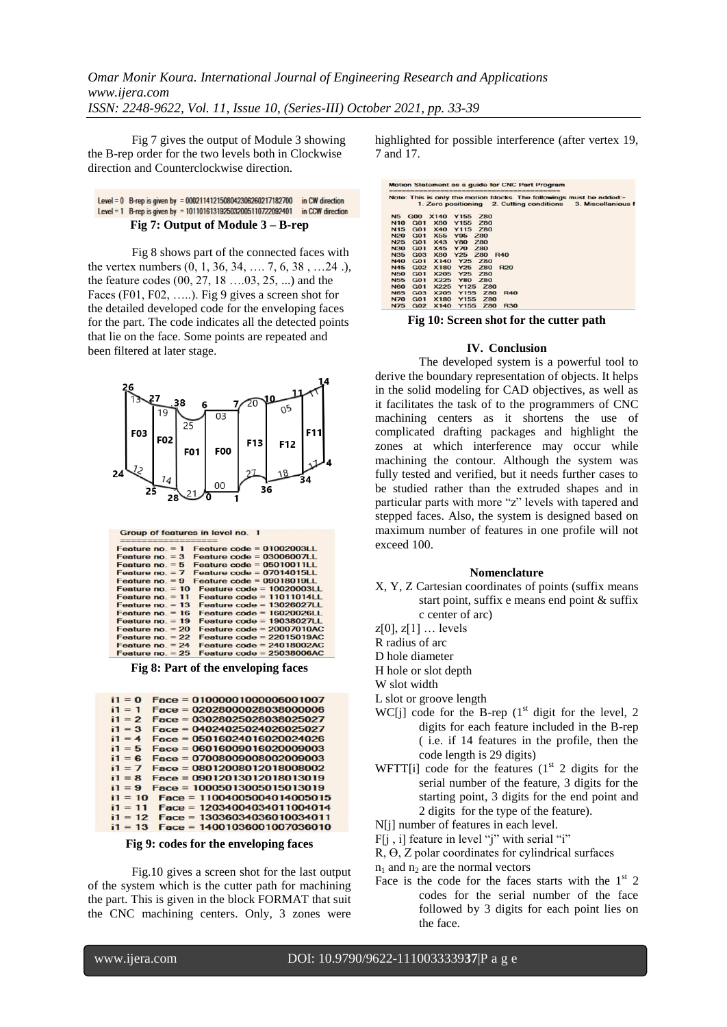Fig 7 gives the output of Module 3 showing the B-rep order for the two levels both in Clockwise direction and Counterclockwise direction.

#### Level = 0 B-rep is given by = 0002114121508042306260217182700 in CW direction Level = 1 B-rep is given by = 1011016131925032005110722092401 in CCW direction **Fig 7: Output of Module 3 – B-rep**

Fig 8 shows part of the connected faces with the vertex numbers (0, 1, 36, 34, …. 7, 6, 38 , …24 .), the feature codes (00, 27, 18 ….03, 25, ...) and the Faces (F01, F02, …..). Fig 9 gives a screen shot for the detailed developed code for the enveloping faces for the part. The code indicates all the detected points that lie on the face. Some points are repeated and been filtered at later stage.



Group of features in level no. 1

| sing them with the first state on the state and the state of the state of the state of the |                                           |
|--------------------------------------------------------------------------------------------|-------------------------------------------|
| Feature $no. = 1$                                                                          | Feature $code = 01002003LL$               |
| Feature no. $=$ 3                                                                          | Feature $code = 03006007LL$               |
| Feature $no = 5$                                                                           | Feature $code = 0501001111$               |
| Feature $no = 7$                                                                           | Feature $code = 07014015LL$               |
| Feature $no. = 9$                                                                          | Feature $code = 0901801911$               |
| Feature no. $= 10$                                                                         | Feature $code = 1002000311$               |
| Feature $no = 11$                                                                          | Feature $code = 11011014LL$               |
| Feature $no = 13$                                                                          | Feature $code = 13026027LL$               |
| Feature $no = 16$                                                                          | Feature $code = 1602002611$               |
| Feature no. $= 19$                                                                         | Feature $code = 19038027LL$               |
| Feature no. $= 20$                                                                         | Feature $code = 20007010AC$               |
| Feature no. $= 22$                                                                         | Feature $code = 22015019AC$               |
| Feature $no = 24$                                                                          | Feature $code = 24018002AC$               |
| $F$ osturo no $= 25$                                                                       | $F_{\alpha\alpha}$ turo codo = 25038006AC |

**Fig 8: Part of the enveloping faces**

| $1 = 0$   | $Face = 01000001000006001007$ |
|-----------|-------------------------------|
| $1 = 1$   | $Face = 02028000028038000006$ |
| $i1 = 2$  | Face = 03028025028038025027   |
| $1 = 3$   | Face = 04024025024026025027   |
| $i1 = 4$  | Face = 05016024016020024026   |
| $1 = 5$   | $Face = 06016009016020009003$ |
| $i1 = 6$  | $Face = 07008009008002009003$ |
| $1 = 7$   | $Face = 08012008012018008002$ |
| $i1 = R$  | $Face = 09012013012018013019$ |
| $1 = 9$   | Face = 10005013005015013019   |
| $i1 = 10$ | $Face = 11004005004014005015$ |
| $1 = 11$  | Face = 12034004034011004014   |
| $1 = 12$  | Face = 13036034036010034011   |
| $= 13$    | $Face = 14001036001007036010$ |

**Fig 9: codes for the enveloping faces**

Fig.10 gives a screen shot for the last output of the system which is the cutter path for machining the part. This is given in the block FORMAT that suit the CNC machining centers. Only, 3 zones were

highlighted for possible interference (after vertex 19, 7 and 17.

|            |                 |                 |            |            |            |                                           | Note: This is only the motion blocks. The followings must be added:- |
|------------|-----------------|-----------------|------------|------------|------------|-------------------------------------------|----------------------------------------------------------------------|
|            |                 |                 |            |            |            | 1. Zero positioning 2. Cutting conditions | 3. Miscellanious f                                                   |
| <b>N5</b>  | <b>GOO</b>      | <b>X140</b>     | Y155       | <b>Z80</b> |            |                                           |                                                                      |
| <b>N10</b> | <b>G01</b>      | <b>X80</b>      | Y155       | <b>Z80</b> |            |                                           |                                                                      |
| <b>N15</b> | G01             | <b>X40</b>      | Y115       | <b>Z80</b> |            |                                           |                                                                      |
| <b>N20</b> | G01             | X <sub>55</sub> | <b>Y95</b> | <b>Z80</b> |            |                                           |                                                                      |
| <b>N25</b> | G01             | X43             | <b>Y80</b> | <b>Z80</b> |            |                                           |                                                                      |
| <b>N30</b> | <b>G01</b>      | X45             | Y70        | <b>Z80</b> |            |                                           |                                                                      |
| <b>N35</b> | <b>G03</b>      | <b>X80</b>      | Y25 Z80    |            | <b>R40</b> |                                           |                                                                      |
| <b>N40</b> | G <sub>01</sub> | <b>X140</b>     | Y25        | <b>Z80</b> |            |                                           |                                                                      |
| <b>N45</b> | <b>G02</b>      | <b>X180</b>     | Y25        | <b>Z80</b> | <b>R20</b> |                                           |                                                                      |
| <b>N50</b> | G01             | X205            | Y25        | <b>Z80</b> |            |                                           |                                                                      |
| <b>N55</b> | <b>G01</b>      | X225            | <b>Y80</b> | <b>Z80</b> |            |                                           |                                                                      |
| <b>N60</b> | <b>G01</b>      | X225            | Y125       | <b>Z80</b> |            |                                           |                                                                      |
| <b>N65</b> | <b>G03</b>      | <b>X205</b>     | Y155       | <b>Z80</b> | <b>R40</b> |                                           |                                                                      |
| <b>N70</b> | <b>G01</b>      | <b>X180</b>     | Y155       | <b>Z80</b> |            |                                           |                                                                      |
| <b>N75</b> | <b>G02</b>      | <b>X140</b>     | Y155       | <b>Z80</b> | <b>R30</b> |                                           |                                                                      |

**Fig 10: Screen shot for the cutter path**

#### **IV. Conclusion**

The developed system is a powerful tool to derive the boundary representation of objects. It helps in the solid modeling for CAD objectives, as well as it facilitates the task of to the programmers of CNC machining centers as it shortens the use of complicated drafting packages and highlight the zones at which interference may occur while machining the contour. Although the system was fully tested and verified, but it needs further cases to be studied rather than the extruded shapes and in particular parts with more "z" levels with tapered and stepped faces. Also, the system is designed based on maximum number of features in one profile will not exceed 100.

#### **Nomenclature**

- X, Y, Z Cartesian coordinates of points (suffix means start point, suffix e means end point & suffix c center of arc)
- $z[0], z[1] \dots$  levels
- R radius of arc
- D hole diameter
- H hole or slot depth
- W slot width
- L slot or groove length
- WC[j] code for the B-rep  $(1<sup>st</sup>$  digit for the level, 2 digits for each feature included in the B-rep ( i.e. if 14 features in the profile, then the code length is 29 digits)
- WFTT[i] code for the features  $(1<sup>st</sup> 2$  digits for the serial number of the feature, 3 digits for the starting point, 3 digits for the end point and 2 digits for the type of the feature).

N[j] number of features in each level.

F[j , i] feature in level "j" with serial "i"

R, Ө, Z polar coordinates for cylindrical surfaces

 $n_1$  and  $n_2$  are the normal vectors

Face is the code for the faces starts with the  $1<sup>st</sup>$  2 codes for the serial number of the face followed by 3 digits for each point lies on the face.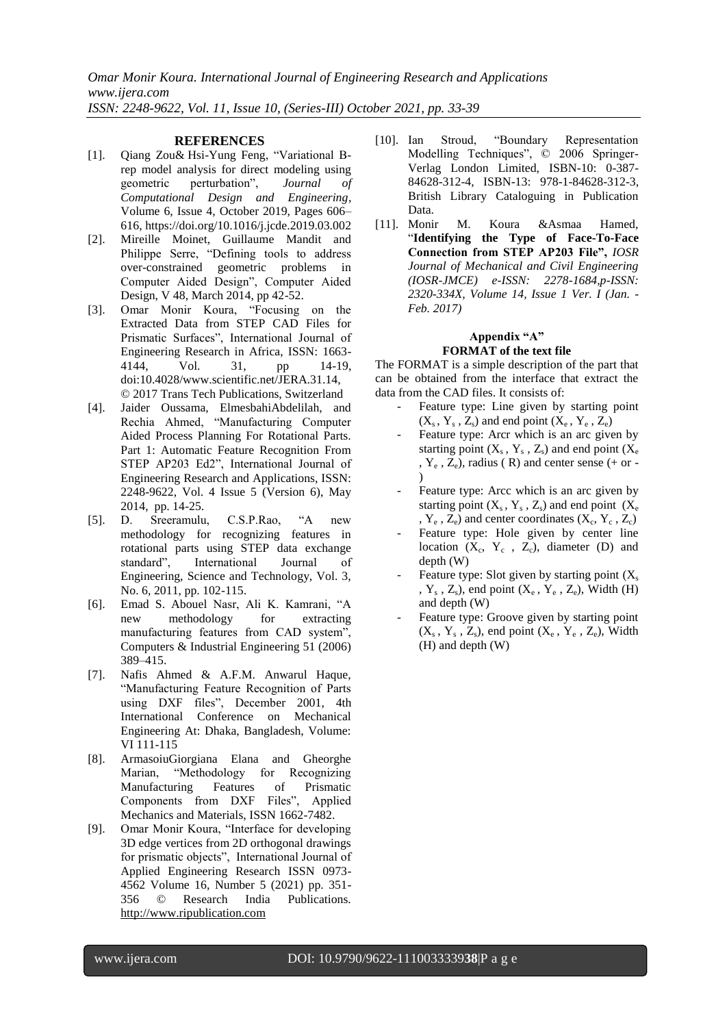*Omar Monir Koura. International Journal of Engineering Research and Applications www.ijera.com ISSN: 2248-9622, Vol. 11, Issue 10, (Series-III) October 2021, pp. 33-39*

### **REFERENCES**

- [1]. [Qiang Zou&](javascript:;) [Hsi-Yung Feng,](javascript:;) "Variational Brep model analysis for direct modeling using geometric perturbation", *Journal of Computational Design and Engineering*, Volume 6, Issue 4, October 2019, Pages 606– 616, <https://doi.org/10.1016/j.jcde.2019.03.002>
- [2]. Mireille Moinet, Guillaume Mandit and Philippe Serre, "Defining tools to address over-constrained geometric problems in Computer Aided Design", Computer Aided Design, V 48, March 2014, pp 42-52.
- [3]. Omar Monir Koura, "Focusing on the Extracted Data from STEP CAD Files for Prismatic Surfaces", International Journal of Engineering Research in Africa, ISSN: 1663- 4144, Vol. 31, pp 14-19, doi:10.4028/www.scientific.net/JERA.31.14, © 2017 Trans Tech Publications, Switzerland
- [4]. Jaider Oussama, ElmesbahiAbdelilah, and Rechia Ahmed, "Manufacturing Computer Aided Process Planning For Rotational Parts. Part 1: Automatic Feature Recognition From STEP AP203 Ed2", International Journal of Engineering Research and Applications, ISSN: 2248-9622, Vol. 4 Issue 5 (Version 6), May 2014, pp. 14-25.
- [5]. D. Sreeramulu, C.S.P.Rao, "A new methodology for recognizing features in rotational parts using STEP data exchange standard", International Journal of Engineering, Science and Technology, Vol. 3, No. 6, 2011, pp. 102-115.
- [6]. Emad S. Abouel Nasr, Ali K. Kamrani, "A new methodology for extracting manufacturing features from CAD system", Computers & Industrial Engineering 51 (2006) 389–415.
- [7]. Nafis Ahmed & A.F.M. Anwarul Haque, "Manufacturing Feature Recognition of Parts using DXF files", December 2001, 4th International Conference on Mechanical Engineering At: Dhaka, Bangladesh, Volume: VI 111-115
- [8]. ArmasoiuGiorgiana Elana and Gheorghe Marian, "Methodology for Recognizing Manufacturing Features of Prismatic Components from DXF Files", Applied Mechanics and Materials, ISSN 1662-7482.
- [9]. Omar Monir Koura, "Interface for developing 3D edge vertices from 2D orthogonal drawings for prismatic objects", International Journal of Applied Engineering Research ISSN 0973- 4562 Volume 16, Number 5 (2021) pp. 351- 356 © Research India Publications. [http://www.ripublication.com](http://www.ripublication.com/)
- [10]. Ian Stroud, "Boundary Representation Modelling Techniques", © 2006 Springer-Verlag London Limited, ISBN-10: 0-387- 84628-312-4, ISBN-13: 978-1-84628-312-3, British Library Cataloguing in Publication Data.
- [11]. Monir M. Koura &Asmaa Hamed, "**Identifying the Type of Face-To-Face Connection from STEP AP203 File",** *IOSR Journal of Mechanical and Civil Engineering (IOSR-JMCE) e-ISSN: 2278-1684,p-ISSN: 2320-334X, Volume 14, Issue 1 Ver. I (Jan. - Feb. 2017)*

#### **Appendix "A" FORMAT of the text file**

The FORMAT is a simple description of the part that can be obtained from the interface that extract the data from the CAD files. It consists of:

- Feature type: Line given by starting point  $(X_s, Y_s, Z_s)$  and end point  $(X_e, Y_e, Z_e)$
- Feature type: Arcr which is an arc given by starting point  $(X_s, Y_s, Z_s)$  and end point  $(X_e)$ ,  $Y_e$ ,  $Z_e$ ), radius (R) and center sense (+ or -)
- Feature type: Arcc which is an arc given by starting point  $(X_s, Y_s, Z_s)$  and end point  $(X_e)$ ,  $Y_e$ ,  $Z_e$ ) and center coordinates  $(X_c, Y_c, Z_c)$
- Feature type: Hole given by center line location  $(X_c, Y_c, Z_c)$ , diameter  $(D)$  and depth (W)
- Feature type: Slot given by starting point  $(X_s)$ ,  $Y_s$ ,  $Z_s$ ), end point  $(X_e, Y_e, Z_e)$ , Width (H) and depth (W)
- Feature type: Groove given by starting point  $(X_s, Y_s, Z_s)$ , end point  $(X_e, Y_e, Z_e)$ , Width (H) and depth (W)